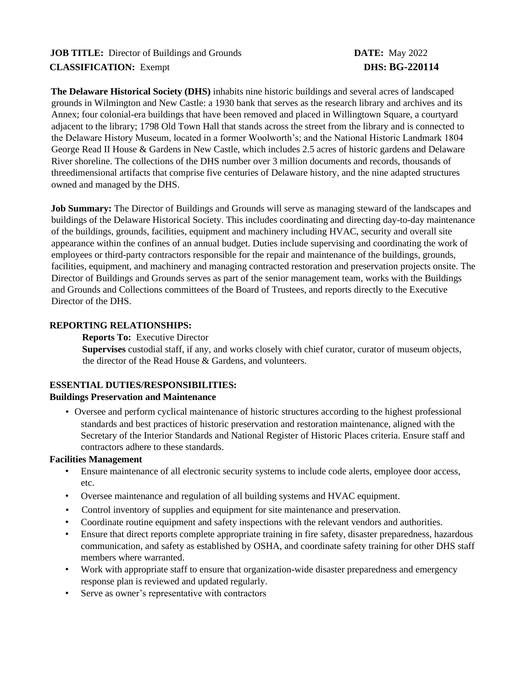# **JOB TITLE:** Director of Buildings and Grounds **DATE:** May 2022 **CLASSIFICATION:** Exempt **DHS: BG-220114**

**The Delaware Historical Society (DHS)** inhabits nine historic buildings and several acres of landscaped grounds in Wilmington and New Castle: a 1930 bank that serves as the research library and archives and its Annex; four colonial-era buildings that have been removed and placed in Willingtown Square, a courtyard adjacent to the library; 1798 Old Town Hall that stands across the street from the library and is connected to the Delaware History Museum, located in a former Woolworth's; and the National Historic Landmark 1804 George Read II House & Gardens in New Castle, which includes 2.5 acres of historic gardens and Delaware River shoreline. The collections of the DHS number over 3 million documents and records, thousands of threedimensional artifacts that comprise five centuries of Delaware history, and the nine adapted structures owned and managed by the DHS.

**Job Summary:** The Director of Buildings and Grounds will serve as managing steward of the landscapes and buildings of the Delaware Historical Society. This includes coordinating and directing day-to-day maintenance of the buildings, grounds, facilities, equipment and machinery including HVAC, security and overall site appearance within the confines of an annual budget. Duties include supervising and coordinating the work of employees or third-party contractors responsible for the repair and maintenance of the buildings, grounds, facilities, equipment, and machinery and managing contracted restoration and preservation projects onsite. The Director of Buildings and Grounds serves as part of the senior management team, works with the Buildings and Grounds and Collections committees of the Board of Trustees, and reports directly to the Executive Director of the DHS.

## **REPORTING RELATIONSHIPS:**

**Reports To:** Executive Director **Supervises** custodial staff, if any, and works closely with chief curator, curator of museum objects, the director of the Read House & Gardens, and volunteers.

## **ESSENTIAL DUTIES/RESPONSIBILITIES:**

## **Buildings Preservation and Maintenance**

• Oversee and perform cyclical maintenance of historic structures according to the highest professional standards and best practices of historic preservation and restoration maintenance, aligned with the Secretary of the Interior Standards and National Register of Historic Places criteria. Ensure staff and contractors adhere to these standards.

#### **Facilities Management**

- Ensure maintenance of all electronic security systems to include code alerts, employee door access, etc.
- Oversee maintenance and regulation of all building systems and HVAC equipment.
- Control inventory of supplies and equipment for site maintenance and preservation.
- Coordinate routine equipment and safety inspections with the relevant vendors and authorities.
- Ensure that direct reports complete appropriate training in fire safety, disaster preparedness, hazardous communication, and safety as established by OSHA, and coordinate safety training for other DHS staff members where warranted.
- Work with appropriate staff to ensure that organization-wide disaster preparedness and emergency response plan is reviewed and updated regularly.
- Serve as owner's representative with contractors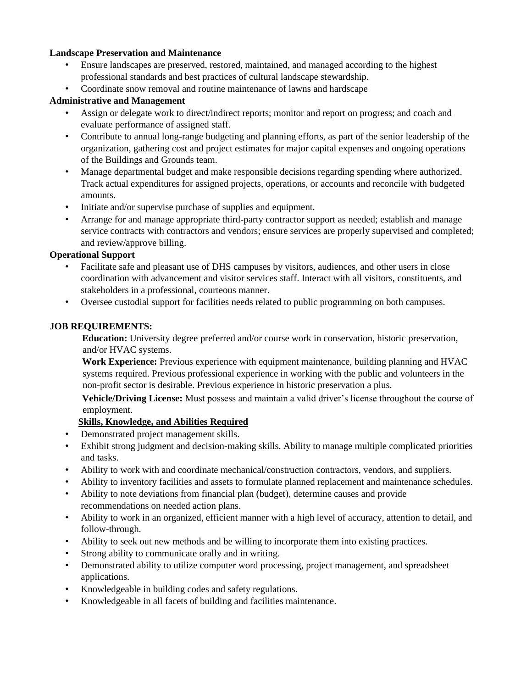#### **Landscape Preservation and Maintenance**

- Ensure landscapes are preserved, restored, maintained, and managed according to the highest professional standards and best practices of cultural landscape stewardship.
- Coordinate snow removal and routine maintenance of lawns and hardscape

#### **Administrative and Management**

- Assign or delegate work to direct/indirect reports; monitor and report on progress; and coach and evaluate performance of assigned staff.
- Contribute to annual long-range budgeting and planning efforts, as part of the senior leadership of the organization, gathering cost and project estimates for major capital expenses and ongoing operations of the Buildings and Grounds team.
- Manage departmental budget and make responsible decisions regarding spending where authorized. Track actual expenditures for assigned projects, operations, or accounts and reconcile with budgeted amounts.
- Initiate and/or supervise purchase of supplies and equipment.
- Arrange for and manage appropriate third-party contractor support as needed; establish and manage service contracts with contractors and vendors; ensure services are properly supervised and completed; and review/approve billing.

## **Operational Support**

- Facilitate safe and pleasant use of DHS campuses by visitors, audiences, and other users in close coordination with advancement and visitor services staff. Interact with all visitors, constituents, and stakeholders in a professional, courteous manner.
- Oversee custodial support for facilities needs related to public programming on both campuses.

#### **JOB REQUIREMENTS:**

**Education:** University degree preferred and/or course work in conservation, historic preservation, and/or HVAC systems.

**Work Experience:** Previous experience with equipment maintenance, building planning and HVAC systems required. Previous professional experience in working with the public and volunteers in the non-profit sector is desirable. Previous experience in historic preservation a plus.

**Vehicle/Driving License:** Must possess and maintain a valid driver's license throughout the course of employment.

## **Skills, Knowledge, and Abilities Required**

- Demonstrated project management skills.
- Exhibit strong judgment and decision-making skills. Ability to manage multiple complicated priorities and tasks.
- Ability to work with and coordinate mechanical/construction contractors, vendors, and suppliers.
- Ability to inventory facilities and assets to formulate planned replacement and maintenance schedules.
- Ability to note deviations from financial plan (budget), determine causes and provide recommendations on needed action plans.
- Ability to work in an organized, efficient manner with a high level of accuracy, attention to detail, and follow-through.
- Ability to seek out new methods and be willing to incorporate them into existing practices.
- Strong ability to communicate orally and in writing.
- Demonstrated ability to utilize computer word processing, project management, and spreadsheet applications.
- Knowledgeable in building codes and safety regulations.
- Knowledgeable in all facets of building and facilities maintenance.